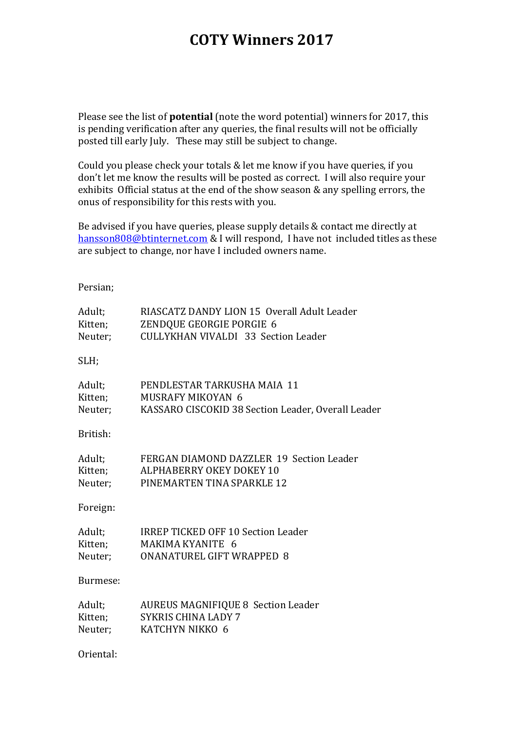## **COTY Winners 2017**

Please see the list of **potential** (note the word potential) winners for 2017, this is pending verification after any queries, the final results will not be officially posted till early July. These may still be subject to change.

Could you please check your totals & let me know if you have queries, if you don't let me know the results will be posted as correct. I will also require your exhibits Official status at the end of the show season & any spelling errors, the onus of responsibility for this rests with you.

Be advised if you have queries, please supply details & contact me directly at hansson808@btinternet.com & I will respond, I have not included titles as these are subject to change, nor have I included owners name.

## Persian;

| Adult;    | RIASCATZ DANDY LION 15 Overall Adult Leader        |
|-----------|----------------------------------------------------|
| Kitten;   | ZENDQUE GEORGIE PORGIE 6                           |
| Neuter;   | <b>CULLYKHAN VIVALDI 33 Section Leader</b>         |
| SLH;      |                                                    |
| Adult;    | PENDLESTAR TARKUSHA MAIA 11                        |
| Kitten;   | MUSRAFY MIKOYAN 6                                  |
| Neuter;   | KASSARO CISCOKID 38 Section Leader, Overall Leader |
| British:  |                                                    |
| Adult;    | FERGAN DIAMOND DAZZLER 19 Section Leader           |
| Kitten;   | ALPHABERRY OKEY DOKEY 10                           |
| Neuter;   | PINEMARTEN TINA SPARKLE 12                         |
|           |                                                    |
| Foreign:  |                                                    |
| Adult;    | <b>IRREP TICKED OFF 10 Section Leader</b>          |
| Kitten;   | MAKIMA KYANITE 6                                   |
| Neuter;   | <b>ONANATUREL GIFT WRAPPED 8</b>                   |
|           |                                                    |
| Burmese:  |                                                    |
| Adult;    | <b>AUREUS MAGNIFIQUE 8 Section Leader</b>          |
| Kitten;   | <b>SYKRIS CHINA LADY 7</b>                         |
| Neuter;   | KATCHYN NIKKO 6                                    |
|           |                                                    |
| Oriental: |                                                    |